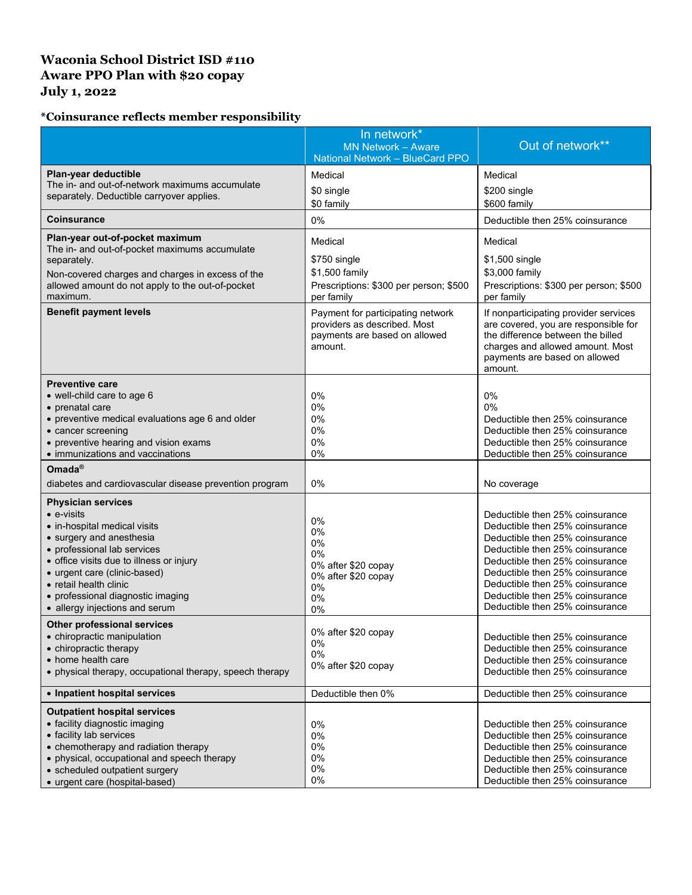## **Waconia School District ISD #110 Aware PPO Plan with \$20 copay July 1, 2022**

## **\*Coinsurance reflects member responsibility**

|                                                                                                                                                                                                                                                                                                                         | In network*<br><b>MN Network - Aware</b><br>National Network - BlueCard PPO                                                            | Out of network**                                                                                                                                                                                                                                                                                                        |
|-------------------------------------------------------------------------------------------------------------------------------------------------------------------------------------------------------------------------------------------------------------------------------------------------------------------------|----------------------------------------------------------------------------------------------------------------------------------------|-------------------------------------------------------------------------------------------------------------------------------------------------------------------------------------------------------------------------------------------------------------------------------------------------------------------------|
| Plan-year deductible<br>The in- and out-of-network maximums accumulate<br>separately. Deductible carryover applies.                                                                                                                                                                                                     | Medical<br>\$0 single<br>\$0 family                                                                                                    | Medical<br>\$200 single<br>\$600 family                                                                                                                                                                                                                                                                                 |
| <b>Coinsurance</b>                                                                                                                                                                                                                                                                                                      | 0%                                                                                                                                     | Deductible then 25% coinsurance                                                                                                                                                                                                                                                                                         |
| Plan-year out-of-pocket maximum<br>The in- and out-of-pocket maximums accumulate<br>separately.<br>Non-covered charges and charges in excess of the<br>allowed amount do not apply to the out-of-pocket<br>maximum.<br><b>Benefit payment levels</b>                                                                    | Medical<br>\$750 single<br>\$1,500 family<br>Prescriptions: \$300 per person; \$500<br>per family<br>Payment for participating network | Medical<br>\$1,500 single<br>\$3,000 family<br>Prescriptions: \$300 per person; \$500<br>per family<br>If nonparticipating provider services                                                                                                                                                                            |
|                                                                                                                                                                                                                                                                                                                         | providers as described. Most<br>payments are based on allowed<br>amount.                                                               | are covered, you are responsible for<br>the difference between the billed<br>charges and allowed amount. Most<br>payments are based on allowed<br>amount.                                                                                                                                                               |
| <b>Preventive care</b><br>• well-child care to age 6<br>• prenatal care<br>• preventive medical evaluations age 6 and older<br>• cancer screening<br>• preventive hearing and vision exams<br>• immunizations and vaccinations                                                                                          | 0%<br>0%<br>0%<br>0%<br>0%<br>0%                                                                                                       | 0%<br>0%<br>Deductible then 25% coinsurance<br>Deductible then 25% coinsurance<br>Deductible then 25% coinsurance<br>Deductible then 25% coinsurance                                                                                                                                                                    |
| Omada®<br>diabetes and cardiovascular disease prevention program                                                                                                                                                                                                                                                        | 0%                                                                                                                                     | No coverage                                                                                                                                                                                                                                                                                                             |
| <b>Physician services</b><br>$\bullet$ e-visits<br>• in-hospital medical visits<br>• surgery and anesthesia<br>• professional lab services<br>• office visits due to illness or injury<br>• urgent care (clinic-based)<br>• retail health clinic<br>• professional diagnostic imaging<br>• allergy injections and serum | 0%<br>0%<br>0%<br>0%<br>0% after \$20 copay<br>0% after \$20 copay<br>0%<br>0%<br>0%                                                   | Deductible then 25% coinsurance<br>Deductible then 25% coinsurance<br>Deductible then 25% coinsurance<br>Deductible then 25% coinsurance<br>Deductible then 25% coinsurance<br>Deductible then 25% coinsurance<br>Deductible then 25% coinsurance<br>Deductible then 25% coinsurance<br>Deductible then 25% coinsurance |
| <b>Other professional services</b><br>• chiropractic manipulation<br>• chiropractic therapy<br>• home health care<br>• physical therapy, occupational therapy, speech therapy                                                                                                                                           | 0% after \$20 copay<br>0%<br>0%<br>0% after \$20 copay                                                                                 | Deductible then 25% coinsurance<br>Deductible then 25% coinsurance<br>Deductible then 25% coinsurance<br>Deductible then 25% coinsurance                                                                                                                                                                                |
| • Inpatient hospital services                                                                                                                                                                                                                                                                                           | Deductible then 0%                                                                                                                     | Deductible then 25% coinsurance                                                                                                                                                                                                                                                                                         |
| <b>Outpatient hospital services</b><br>• facility diagnostic imaging<br>• facility lab services<br>• chemotherapy and radiation therapy<br>• physical, occupational and speech therapy<br>• scheduled outpatient surgery<br>• urgent care (hospital-based)                                                              | 0%<br>0%<br>0%<br>0%<br>0%<br>0%                                                                                                       | Deductible then 25% coinsurance<br>Deductible then 25% coinsurance<br>Deductible then 25% coinsurance<br>Deductible then 25% coinsurance<br>Deductible then 25% coinsurance<br>Deductible then 25% coinsurance                                                                                                          |